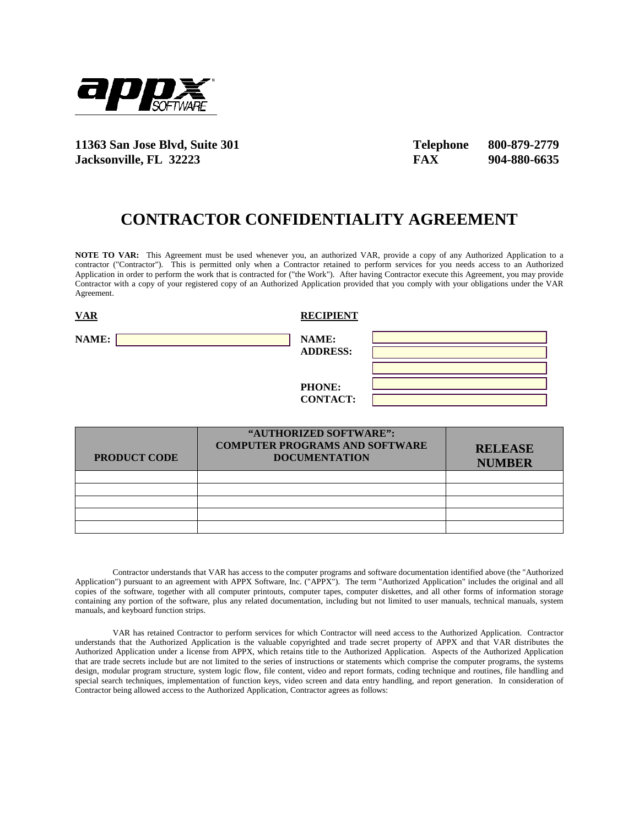

**11363 San Jose Blvd, Suite 301 Telephone 800-879-2779 Jacksonville, FL 32223 FAX 904-880-6635** 

## **CONTRACTOR CONFIDENTIALITY AGREEMENT**

**NOTE TO VAR:** This Agreement must be used whenever you, an authorized VAR, provide a copy of any Authorized Application to a contractor ("Contractor"). This is permitted only when a Contractor retained to perform services for you needs access to an Authorized Application in order to perform the work that is contracted for ("the Work"). After having Contractor execute this Agreement, you may provide Contractor with a copy of your registered copy of an Authorized Application provided that you comply with your obligations under the VAR Agreement.

| <b>VAR</b> | <b>RECIPIENT</b>                 |
|------------|----------------------------------|
| NAME:      | NAME:<br><b>ADDRESS:</b>         |
|            | <b>PHONE:</b><br><b>CONTACT:</b> |

| <b>PRODUCT CODE</b> | "AUTHORIZED SOFTWARE":<br><b>COMPUTER PROGRAMS AND SOFTWARE</b><br><b>DOCUMENTATION</b> | <b>RELEASE</b><br><b>NUMBER</b> |
|---------------------|-----------------------------------------------------------------------------------------|---------------------------------|
|                     |                                                                                         |                                 |
|                     |                                                                                         |                                 |
|                     |                                                                                         |                                 |
|                     |                                                                                         |                                 |
|                     |                                                                                         |                                 |

Contractor understands that VAR has access to the computer programs and software documentation identified above (the "Authorized Application") pursuant to an agreement with APPX Software, Inc. ("APPX"). The term "Authorized Application" includes the original and all copies of the software, together with all computer printouts, computer tapes, computer diskettes, and all other forms of information storage containing any portion of the software, plus any related documentation, including but not limited to user manuals, technical manuals, system manuals, and keyboard function strips.

VAR has retained Contractor to perform services for which Contractor will need access to the Authorized Application. Contractor understands that the Authorized Application is the valuable copyrighted and trade secret property of APPX and that VAR distributes the Authorized Application under a license from APPX, which retains title to the Authorized Application. Aspects of the Authorized Application that are trade secrets include but are not limited to the series of instructions or statements which comprise the computer programs, the systems design, modular program structure, system logic flow, file content, video and report formats, coding technique and routines, file handling and special search techniques, implementation of function keys, video screen and data entry handling, and report generation. In consideration of Contractor being allowed access to the Authorized Application, Contractor agrees as follows: